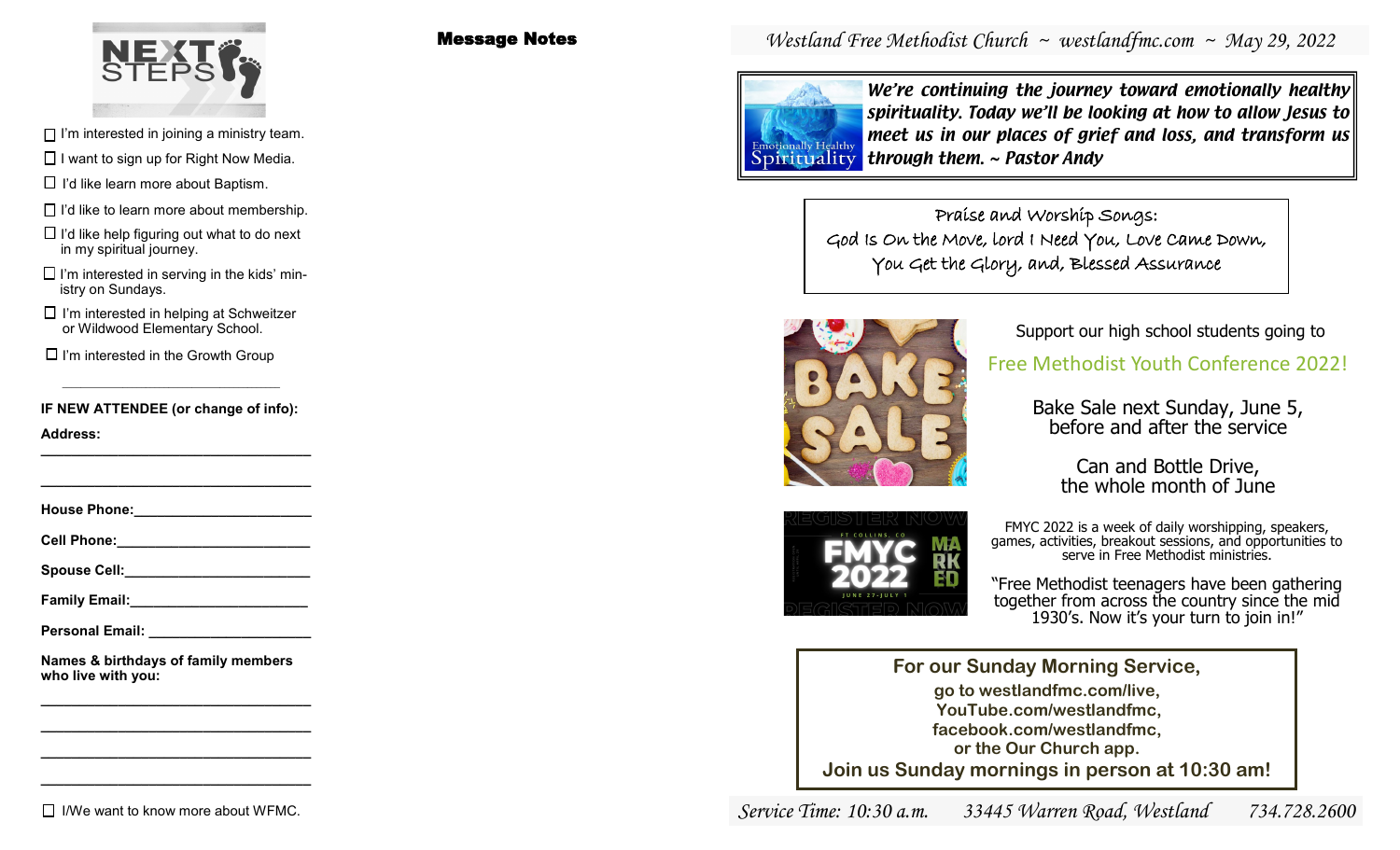

- $\Box$  I'm interested in joining a ministry team.
- $\Box$  I want to sign up for Right Now Media.
- $\Box$  I'd like learn more about Baptism.
- $\Box$  I'd like to learn more about membership.
- $\Box$  I'd like help figuring out what to do next in my spiritual journey.
- $\Box$  I'm interested in serving in the kids' ministry on Sundays.
- □ I'm interested in helping at Schweitzer<br>or Wildwood Elementary School.

 $\Box$  I'm interested in the Growth Group

**IF NEW ATTENDEE (or change of info):**

**Address: \_\_\_\_\_\_\_\_\_\_\_\_\_\_\_\_\_\_\_\_\_\_\_\_\_\_\_\_\_\_\_\_\_\_\_**

**House Phone:\_\_\_\_\_\_\_\_\_\_\_\_\_\_\_\_\_\_\_\_\_\_\_**

**\_\_\_\_\_\_\_\_\_\_\_\_\_\_\_\_\_\_\_\_\_\_\_\_\_\_\_\_\_\_\_\_\_\_\_**

**Cell Phone:\_\_\_\_\_\_\_\_\_\_\_\_\_\_\_\_\_\_\_\_\_\_\_\_\_**

**Spouse Cell:\_\_\_\_\_\_\_\_\_\_\_\_\_\_\_\_\_\_\_\_\_\_\_\_**

**Family Email:\_\_\_\_\_\_\_\_\_\_\_\_\_\_\_\_\_\_\_\_\_\_\_**

**Personal Email: \_\_\_\_\_\_\_\_\_\_\_\_\_\_\_\_\_\_\_\_\_**

**Names & birthdays of family members who live with you:**

**\_\_\_\_\_\_\_\_\_\_\_\_\_\_\_\_\_\_\_\_\_\_\_\_\_\_\_\_\_\_\_\_\_\_\_ \_\_\_\_\_\_\_\_\_\_\_\_\_\_\_\_\_\_\_\_\_\_\_\_\_\_\_\_\_\_\_\_\_\_\_ \_\_\_\_\_\_\_\_\_\_\_\_\_\_\_\_\_\_\_\_\_\_\_\_\_\_\_\_\_\_\_\_\_\_\_ \_\_\_\_\_\_\_\_\_\_\_\_\_\_\_\_\_\_\_\_\_\_\_\_\_\_\_\_\_\_\_\_\_\_\_**

 $\Box$  I/We want to know more about WFMC.

## Message Notes

# *Westland Free Methodist Church ~ westlandfmc.com ~ May 29, 2022*



We're continuing the journey toward emotionally healthy spirituality. Today we'll be looking at how to allow Jesus to meet us in our places of grief and loss, and transform us  $t$  pirituality through them.  $\sim$  Pastor Andy

> Praise and Worship Songs: God Is On the Move, lord I Need You, Love Came Down, You Get the Glory, and, Blessed Assurance



Support our high school students going to Free Methodist Youth Conference 2022!

> Bake Sale next Sunday, June 5, before and after the service

Can and Bottle Drive, the whole month of June



FMYC 2022 is a week of daily worshipping, speakers, games, activities, breakout sessions, and opportunities to serve in Free Methodist ministries.

"Free Methodist teenagers have been gathering together from across the country since the mid 1930's. Now it's your turn to join in!"

**For our Sunday Morning Service, go to westlandfmc.com/live, YouTube.com/westlandfmc, facebook.com/westlandfmc, or the Our Church app. Join us Sunday mornings in person at 10:30 am!**